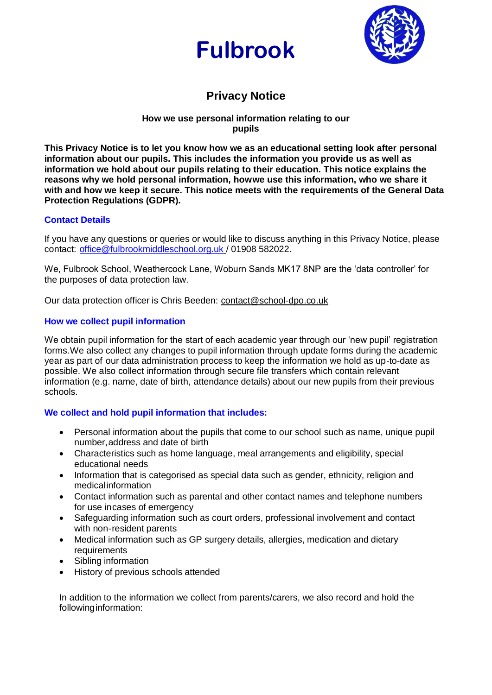



# **Privacy Notice**

### **How we use personal information relating to our pupils**

**This Privacy Notice is to let you know how we as an educational setting look after personal information about our pupils. This includes the information you provide us as well as information we hold about our pupils relating to their education. This notice explains the reasons why we hold personal information, howwe use this information, who we share it with and how we keep it secure. This notice meets with the requirements of the General Data Protection Regulations (GDPR).**

# **Contact Details**

If you have any questions or queries or would like to discuss anything in this Privacy Notice, please contact: [office@fulbrookmiddleschool.org.uk](mailto:office@fulbrookmiddleschool.org.uk) / 01908 582022.

We, Fulbrook School, Weathercock Lane, Woburn Sands MK17 8NP are the 'data controller' for the purposes of data protection law.

Our data protection officer is Chris Beeden: [contact@school-dpo.co.uk](mailto:contact@school-dpo.co.uk)

# **How we collect pupil information**

We obtain pupil information for the start of each academic year through our 'new pupil' registration forms.We also collect any changes to pupil information through update forms during the academic year as part of our data administration process to keep the information we hold as up-to-date as possible. We also collect information through secure file transfers which contain relevant information (e.g. name, date of birth, attendance details) about our new pupils from their previous schools.

# **We collect and hold pupil information that includes:**

- Personal information about the pupils that come to our school such as name, unique pupil number,address and date of birth
- Characteristics such as home language, meal arrangements and eligibility, special educational needs
- Information that is categorised as special data such as gender, ethnicity, religion and medicalinformation
- Contact information such as parental and other contact names and telephone numbers for use incases of emergency
- Safeguarding information such as court orders, professional involvement and contact with non-resident parents
- Medical information such as GP surgery details, allergies, medication and dietary requirements
- Sibling information
- History of previous schools attended

In addition to the information we collect from parents/carers, we also record and hold the followinginformation: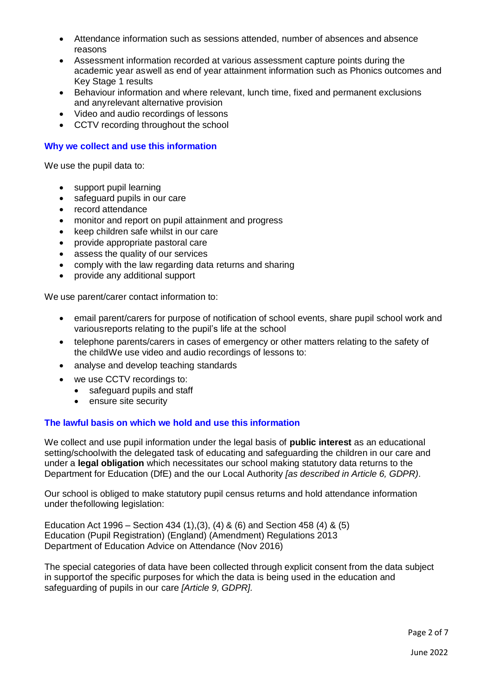- Attendance information such as sessions attended, number of absences and absence reasons
- Assessment information recorded at various assessment capture points during the academic year aswell as end of year attainment information such as Phonics outcomes and Key Stage 1 results
- Behaviour information and where relevant, lunch time, fixed and permanent exclusions and anyrelevant alternative provision
- Video and audio recordings of lessons
- CCTV recording throughout the school

#### **Why we collect and use this information**

We use the pupil data to:

- support pupil learning
- safeguard pupils in our care
- record attendance
- monitor and report on pupil attainment and progress
- keep children safe whilst in our care
- provide appropriate pastoral care
- assess the quality of our services
- comply with the law regarding data returns and sharing
- provide any additional support

We use parent/carer contact information to:

- email parent/carers for purpose of notification of school events, share pupil school work and variousreports relating to the pupil's life at the school
- telephone parents/carers in cases of emergency or other matters relating to the safety of the childWe use video and audio recordings of lessons to:
- analyse and develop teaching standards
- we use CCTV recordings to:
	- safeguard pupils and staff
	- ensure site security

#### **The lawful basis on which we hold and use this information**

We collect and use pupil information under the legal basis of **public interest** as an educational setting/schoolwith the delegated task of educating and safeguarding the children in our care and under a **legal obligation** which necessitates our school making statutory data returns to the Department for Education (DfE) and the our Local Authority *[as described in Article 6, GDPR)*.

Our school is obliged to make statutory pupil census returns and hold attendance information under thefollowing legislation:

Education Act 1996 – Section 434 (1),(3), (4) & (6) and Section 458 (4) & (5) Education (Pupil Registration) (England) (Amendment) Regulations 2013 Department of Education Advice on Attendance (Nov 2016)

The special categories of data have been collected through explicit consent from the data subject in supportof the specific purposes for which the data is being used in the education and safeguarding of pupils in our care *[Article 9, GDPR].*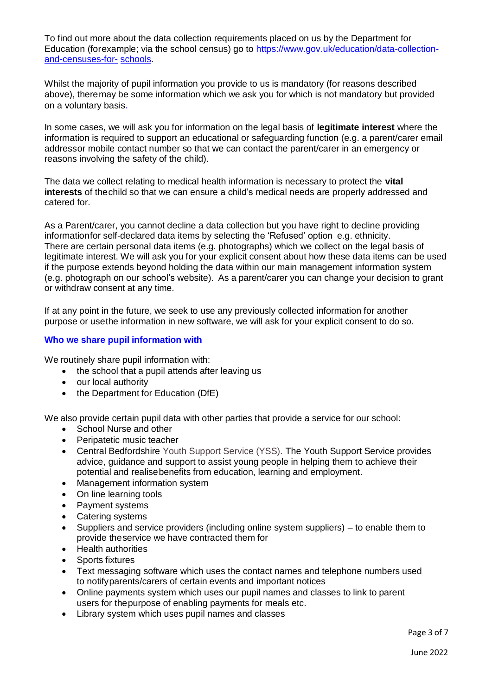To find out more about the data collection requirements placed on us by the Department for Education (forexample; via the school census) go to [https://www.gov.uk/education/data-collection](https://www.gov.uk/education/data-collection-and-censuses-for-schools)[and-censuses-for-](https://www.gov.uk/education/data-collection-and-censuses-for-schools) [schools.](https://www.gov.uk/education/data-collection-and-censuses-for-schools)

Whilst the majority of pupil information you provide to us is mandatory (for reasons described above), theremay be some information which we ask you for which is not mandatory but provided on a voluntary basis.

In some cases, we will ask you for information on the legal basis of **legitimate interest** where the information is required to support an educational or safeguarding function (e.g. a parent/carer email addressor mobile contact number so that we can contact the parent/carer in an emergency or reasons involving the safety of the child).

The data we collect relating to medical health information is necessary to protect the **vital interests** of thechild so that we can ensure a child's medical needs are properly addressed and catered for.

As a Parent/carer, you cannot decline a data collection but you have right to decline providing informationfor self-declared data items by selecting the 'Refused' option e.g. ethnicity. There are certain personal data items (e.g. photographs) which we collect on the legal basis of legitimate interest. We will ask you for your explicit consent about how these data items can be used if the purpose extends beyond holding the data within our main management information system (e.g. photograph on our school's website). As a parent/carer you can change your decision to grant or withdraw consent at any time.

If at any point in the future, we seek to use any previously collected information for another purpose or usethe information in new software, we will ask for your explicit consent to do so.

### **Who we share pupil information with**

We routinely share pupil information with:

- the school that a pupil attends after leaving us
- our local authority
- the Department for Education (DfE)

We also provide certain pupil data with other parties that provide a service for our school:

- School Nurse and other
- Peripatetic music teacher
- Central Bedfordshire Youth Support Service (YSS). The Youth Support Service provides advice, guidance and support to assist young people in helping them to achieve their potential and realisebenefits from education, learning and employment.
- Management information system
- On line learning tools
- Payment systems
- Catering systems
- Suppliers and service providers (including online system suppliers) to enable them to provide theservice we have contracted them for
- Health authorities
- Sports fixtures
- Text messaging software which uses the contact names and telephone numbers used to notifyparents/carers of certain events and important notices
- Online payments system which uses our pupil names and classes to link to parent users for thepurpose of enabling payments for meals etc.
- Library system which uses pupil names and classes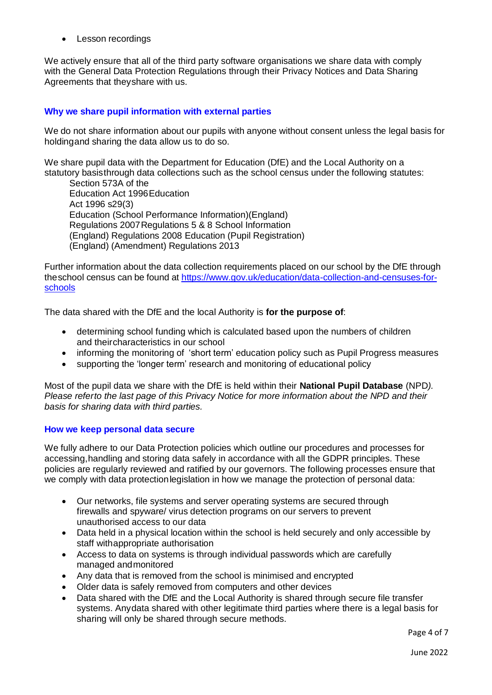• Lesson recordings

We actively ensure that all of the third party software organisations we share data with comply with the General Data Protection Regulations through their Privacy Notices and Data Sharing Agreements that theyshare with us.

### **Why we share pupil information with external parties**

We do not share information about our pupils with anyone without consent unless the legal basis for holdingand sharing the data allow us to do so.

We share pupil data with the Department for Education (DfE) and the Local Authority on a statutory basisthrough data collections such as the school census under the following statutes: Section 573A of the

Education Act 1996Education Act 1996 s29(3) Education (School Performance Information)(England) Regulations 2007Regulations 5 & 8 School Information (England) Regulations 2008 Education (Pupil Registration) (England) (Amendment) Regulations 2013

Further information about the data collection requirements placed on our school by the DfE through theschool census can be found at [https://www.gov.uk/education/data-collection-and-censuses-for](https://www.gov.uk/education/data-collection-and-censuses-for-schools)[schools](https://www.gov.uk/education/data-collection-and-censuses-for-schools)

The data shared with the DfE and the local Authority is **for the purpose of**:

- determining school funding which is calculated based upon the numbers of children and theircharacteristics in our school
- informing the monitoring of 'short term' education policy such as Pupil Progress measures
- supporting the 'longer term' research and monitoring of educational policy

Most of the pupil data we share with the DfE is held within their **National Pupil Database** (NPD*). Please referto the last page of this Privacy Notice for more information about the NPD and their basis for sharing data with third parties.*

#### **How we keep personal data secure**

We fully adhere to our Data Protection policies which outline our procedures and processes for accessing, handling and storing data safely in accordance with all the GDPR principles. These policies are regularly reviewed and ratified by our governors. The following processes ensure that we comply with data protectionlegislation in how we manage the protection of personal data:

- Our networks, file systems and server operating systems are secured through firewalls and spyware/ virus detection programs on our servers to prevent unauthorised access to our data
- Data held in a physical location within the school is held securely and only accessible by staff withappropriate authorisation
- Access to data on systems is through individual passwords which are carefully managed andmonitored
- Any data that is removed from the school is minimised and encrypted
- Older data is safely removed from computers and other devices
- Data shared with the DfE and the Local Authority is shared through secure file transfer systems. Anydata shared with other legitimate third parties where there is a legal basis for sharing will only be shared through secure methods.

Page 4 of 7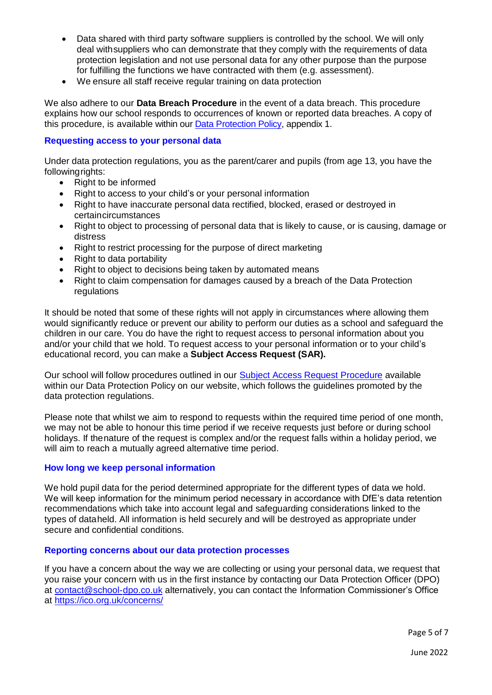- Data shared with third party software suppliers is controlled by the school. We will only deal withsuppliers who can demonstrate that they comply with the requirements of data protection legislation and not use personal data for any other purpose than the purpose for fulfilling the functions we have contracted with them (e.g. assessment).
- We ensure all staff receive regular training on data protection

We also adhere to our **Data Breach Procedure** in the event of a data breach. This procedure explains how our school responds to occurrences of known or reported data breaches. A copy of this procedure, is available within our [Data Protection Policy,](https://www.fulbrookmiddleschool.org.uk/_files/ugd/839f38_6b0e2359ce214f509e25a74070dee22a.pdf) appendix 1.

### **Requesting access to your personal data**

Under data protection regulations, you as the parent/carer and pupils (from age 13, you have the followingrights:

- Right to be informed
- Right to access to your child's or your personal information
- Right to have inaccurate personal data rectified, blocked, erased or destroyed in certaincircumstances
- Right to object to processing of personal data that is likely to cause, or is causing, damage or distress
- Right to restrict processing for the purpose of direct marketing
- Right to data portability
- Right to object to decisions being taken by automated means
- Right to claim compensation for damages caused by a breach of the Data Protection regulations

It should be noted that some of these rights will not apply in circumstances where allowing them would significantly reduce or prevent our ability to perform our duties as a school and safeguard the children in our care. You do have the right to request access to personal information about you and/or your child that we hold. To request access to your personal information or to your child's educational record, you can make a **Subject Access Request (SAR).**

Our school will follow procedures outlined in our [Subject Access Request Procedure](https://www.fulbrookmiddleschool.org.uk/_files/ugd/839f38_6b0e2359ce214f509e25a74070dee22a.pdf) available within our Data Protection Policy on our website, which follows the guidelines promoted by the data protection regulations.

Please note that whilst we aim to respond to requests within the required time period of one month, we may not be able to honour this time period if we receive requests just before or during school holidays. If thenature of the request is complex and/or the request falls within a holiday period, we will aim to reach a mutually agreed alternative time period.

#### **How long we keep personal information**

We hold pupil data for the period determined appropriate for the different types of data we hold. We will keep information for the minimum period necessary in accordance with DfE's data retention recommendations which take into account legal and safeguarding considerations linked to the types of dataheld. All information is held securely and will be destroyed as appropriate under secure and confidential conditions.

#### **Reporting concerns about our data protection processes**

If you have a concern about the way we are collecting or using your personal data, we request that you raise your concern with us in the first instance by contacting our Data Protection Officer (DPO) at [contact@school-dpo.co.uk](mailto:contact@school-dpo.co.uk) alternatively, you can contact the Information Commissioner's Office at <https://ico.org.uk/concerns/>

Page 5 of 7